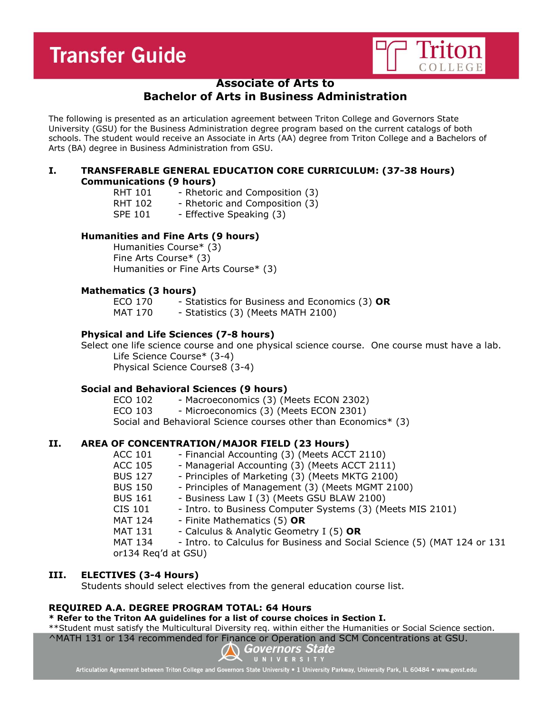# **Transfer Guide**



## **Associate of Arts to**

# **Bachelor of Arts in Business Administration**

The following is presented as an articulation agreement between Triton College and Governors State University (GSU) for the Business Administration degree program based on the current catalogs of both schools. The student would receive an Associate in Arts (AA) degree from Triton College and a Bachelors of Arts (BA) degree in Business Administration from GSU.

#### **I. TRANSFERABLE GENERAL EDUCATION CORE CURRICULUM: (37-38 Hours) Communications (9 hours)**

- RHT 101 Rhetoric and Composition (3)
- RHT 102 Rhetoric and Composition (3)
- SPE 101 Effective Speaking (3)

## **Humanities and Fine Arts (9 hours)**

Humanities Course\* (3) Fine Arts Course\* (3) Humanities or Fine Arts Course\* (3)

## **Mathematics (3 hours)**

ECO 170 - Statistics for Business and Economics (3) **OR** MAT 170 - Statistics (3) (Meets MATH 2100)

## **Physical and Life Sciences (7-8 hours)**

Select one life science course and one physical science course. One course must have a lab. Life Science Course\* (3-4) Physical Science Course8 (3-4)

## **Social and Behavioral Sciences (9 hours)**

ECO 102 - Macroeconomics (3) (Meets ECON 2302) ECO 103 - Microeconomics (3) (Meets ECON 2301) Social and Behavioral Science courses other than Economics\* (3)

## **II. AREA OF CONCENTRATION/MAJOR FIELD (23 Hours)**

| <b>ACC 101</b>      | - Financial Accounting (3) (Meets ACCT 2110)                             |  |
|---------------------|--------------------------------------------------------------------------|--|
| ACC 105             | - Managerial Accounting (3) (Meets ACCT 2111)                            |  |
| <b>BUS 127</b>      | - Principles of Marketing (3) (Meets MKTG 2100)                          |  |
| <b>BUS 150</b>      | - Principles of Management (3) (Meets MGMT 2100)                         |  |
| <b>BUS 161</b>      | - Business Law I (3) (Meets GSU BLAW 2100)                               |  |
| CIS 101             | - Intro. to Business Computer Systems (3) (Meets MIS 2101)               |  |
| MAT 124             | - Finite Mathematics (5) OR                                              |  |
| <b>MAT 131</b>      | - Calculus & Analytic Geometry I (5) OR                                  |  |
| <b>MAT 134</b>      | - Intro. to Calculus for Business and Social Science (5) (MAT 124 or 131 |  |
| or134 Reg'd at GSU) |                                                                          |  |
|                     |                                                                          |  |

## **III. ELECTIVES (3-4 Hours)**

Students should select electives from the general education course list.

## **REQUIRED A.A. DEGREE PROGRAM TOTAL: 64 Hours**

## **\* Refer to the Triton AA guidelines for a list of course choices in Section I.**

\*\*Student must satisfy the Multicultural Diversity req. within either the Humanities or Social Science section.  $\triangle$ MATH 131 or 134 recommended for Finance or Operation and SCM Concentrations at GSU.<br>  $\bigotimes_{U\ N\ I\ V\ E\ R\ S\ I\ I\ Y}$ 



Articulation Agreement between Triton College and Governors State University . 1 University Parkway, University Park, IL 60484 . www.govst.edu